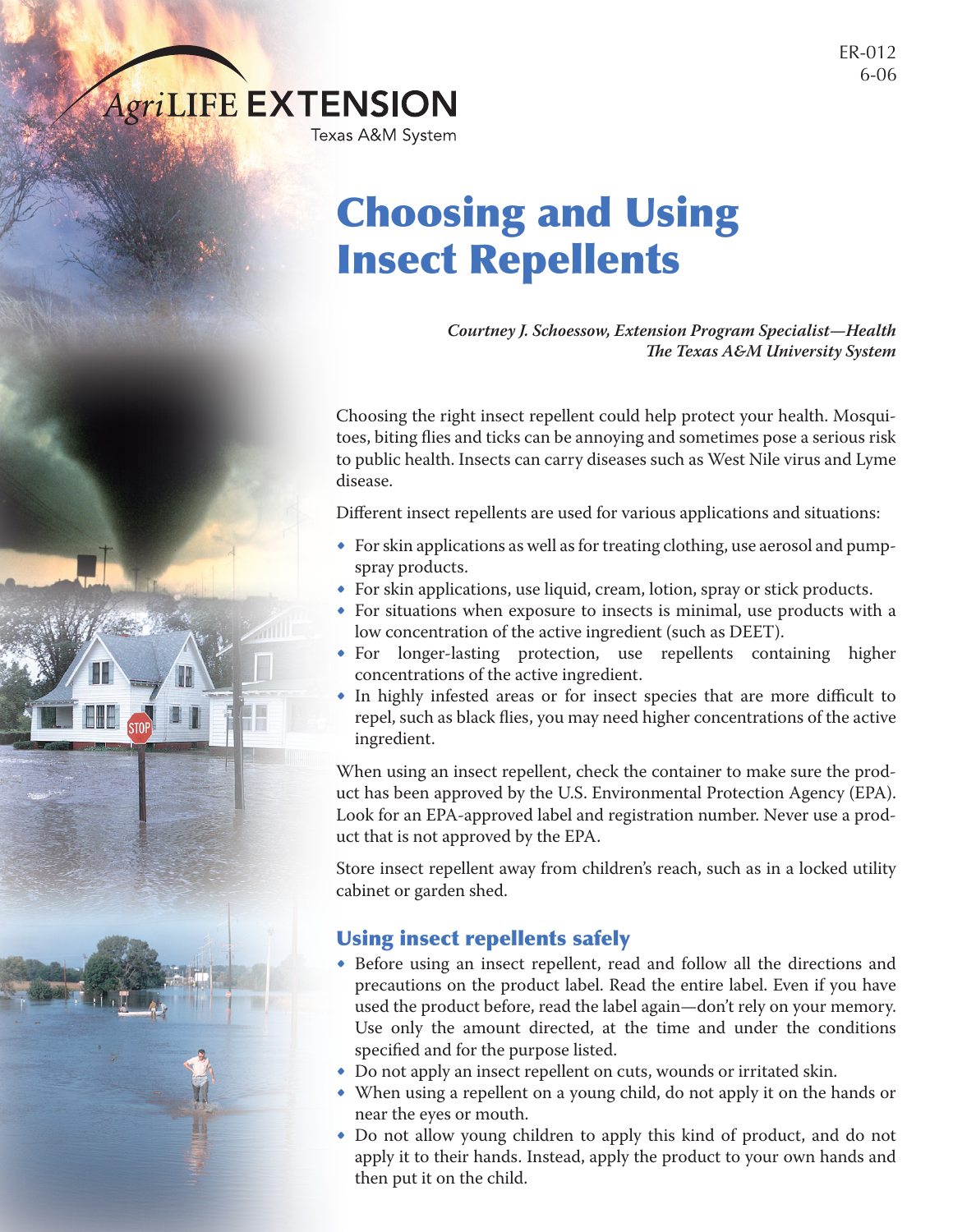#### ER-012 6-06

# **AgriLIFE EXTENSION**

Texas A&M System

# Choosing and Using Insect Repellents

*Courtney J. Schoessow, Extension Program Specialist—Health The Texas A&M University System*

Choosing the right insect repellent could help protect your health. Mosquitoes, biting flies and ticks can be annoying and sometimes pose a serious risk to public health. Insects can carry diseases such as West Nile virus and Lyme disease.

Different insect repellents are used for various applications and situations:

- For skin applications as well as for treating clothing, use aerosol and pumpspray products.
- For skin applications, use liquid, cream, lotion, spray or stick products.
- For situations when exposure to insects is minimal, use products with a low concentration of the active ingredient (such as DEET).
- For longer-lasting protection, use repellents containing higher concentrations of the active ingredient.
- In highly infested areas or for insect species that are more difficult to repel, such as black flies, you may need higher concentrations of the active ingredient.

When using an insect repellent, check the container to make sure the product has been approved by the U.S. Environmental Protection Agency (EPA). Look for an EPA-approved label and registration number. Never use a product that is not approved by the EPA.

Store insect repellent away from children's reach, such as in a locked utility cabinet or garden shed.

# Using insect repellents safely

- Before using an insect repellent, read and follow all the directions and precautions on the product label. Read the entire label. Even if you have used the product before, read the label again—don't rely on your memory. Use only the amount directed, at the time and under the conditions specified and for the purpose listed.
- Do not apply an insect repellent on cuts, wounds or irritated skin.
- When using a repellent on a young child, do not apply it on the hands or near the eyes or mouth.
- Do not allow young children to apply this kind of product, and do not apply it to their hands. Instead, apply the product to your own hands and then put it on the child.